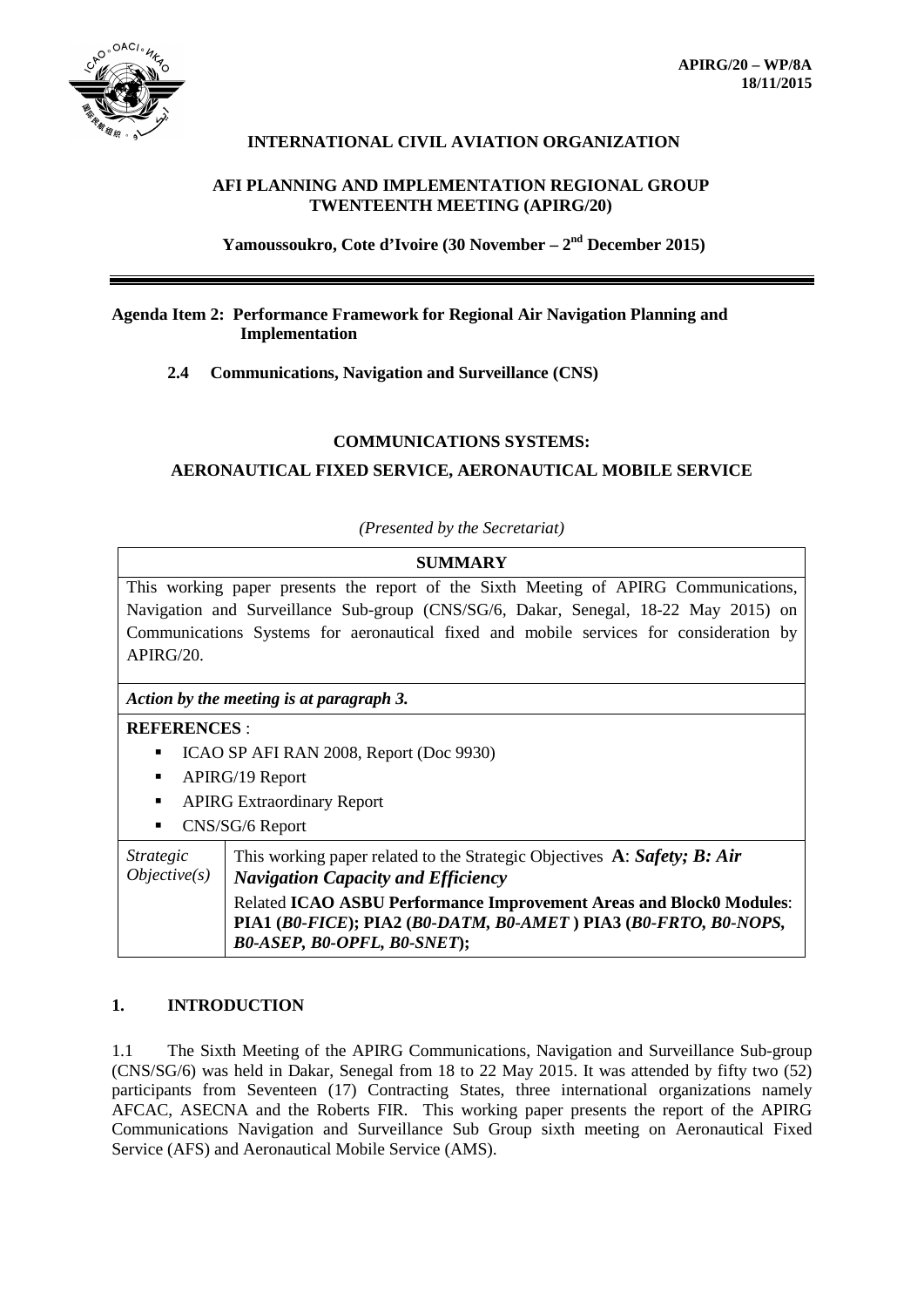

# **INTERNATIONAL CIVIL AVIATION ORGANIZATION**

# **AFI PLANNING AND IMPLEMENTATION REGIONAL GROUP TWENTEENTH MEETING (APIRG/20)**

**Yamoussoukro, Cote d'Ivoire (30 November – 2nd December 2015)**

## **Agenda Item 2: Performance Framework for Regional Air Navigation Planning and Implementation**

**2.4 Communications, Navigation and Surveillance (CNS)**

## **COMMUNICATIONS SYSTEMS:**

**AERONAUTICAL FIXED SERVICE, AERONAUTICAL MOBILE SERVICE**

### *(Presented by the Secretariat)*

#### **SUMMARY**

This working paper presents the report of the Sixth Meeting of APIRG Communications, Navigation and Surveillance Sub-group (CNS/SG/6, Dakar, Senegal, 18-22 May 2015) on Communications Systems for aeronautical fixed and mobile services for consideration by  $APIRG/20.$ 

### *Action by the meeting is at paragraph 3.*

# **REFERENCES** :

- ICAO SP AFI RAN 2008, Report (Doc 9930)
- APIRG/19 Report
- APIRG Extraordinary Report
- CNS/SG/6 Report

| <i>Strategic</i><br>Objective(s) | This working paper related to the Strategic Objectives A: Safety; B: Air<br>  Navigation Capacity and Efficiency |
|----------------------------------|------------------------------------------------------------------------------------------------------------------|
|                                  | <b>Related ICAO ASBU Performance Improvement Areas and Block0 Modules:</b>                                       |
|                                  | PIA1 (B0-FICE); PIA2 (B0-DATM, B0-AMET) PIA3 (B0-FRTO, B0-NOPS,                                                  |
|                                  | <b>BO-ASEP, BO-OPFL, BO-SNET);</b>                                                                               |

# **1. INTRODUCTION**

1.1 The Sixth Meeting of the APIRG Communications, Navigation and Surveillance Sub-group (CNS/SG/6) was held in Dakar, Senegal from 18 to 22 May 2015. It was attended by fifty two (52) participants from Seventeen (17) Contracting States, three international organizations namely AFCAC, ASECNA and the Roberts FIR. This working paper presents the report of the APIRG Communications Navigation and Surveillance Sub Group sixth meeting on Aeronautical Fixed Service (AFS) and Aeronautical Mobile Service (AMS).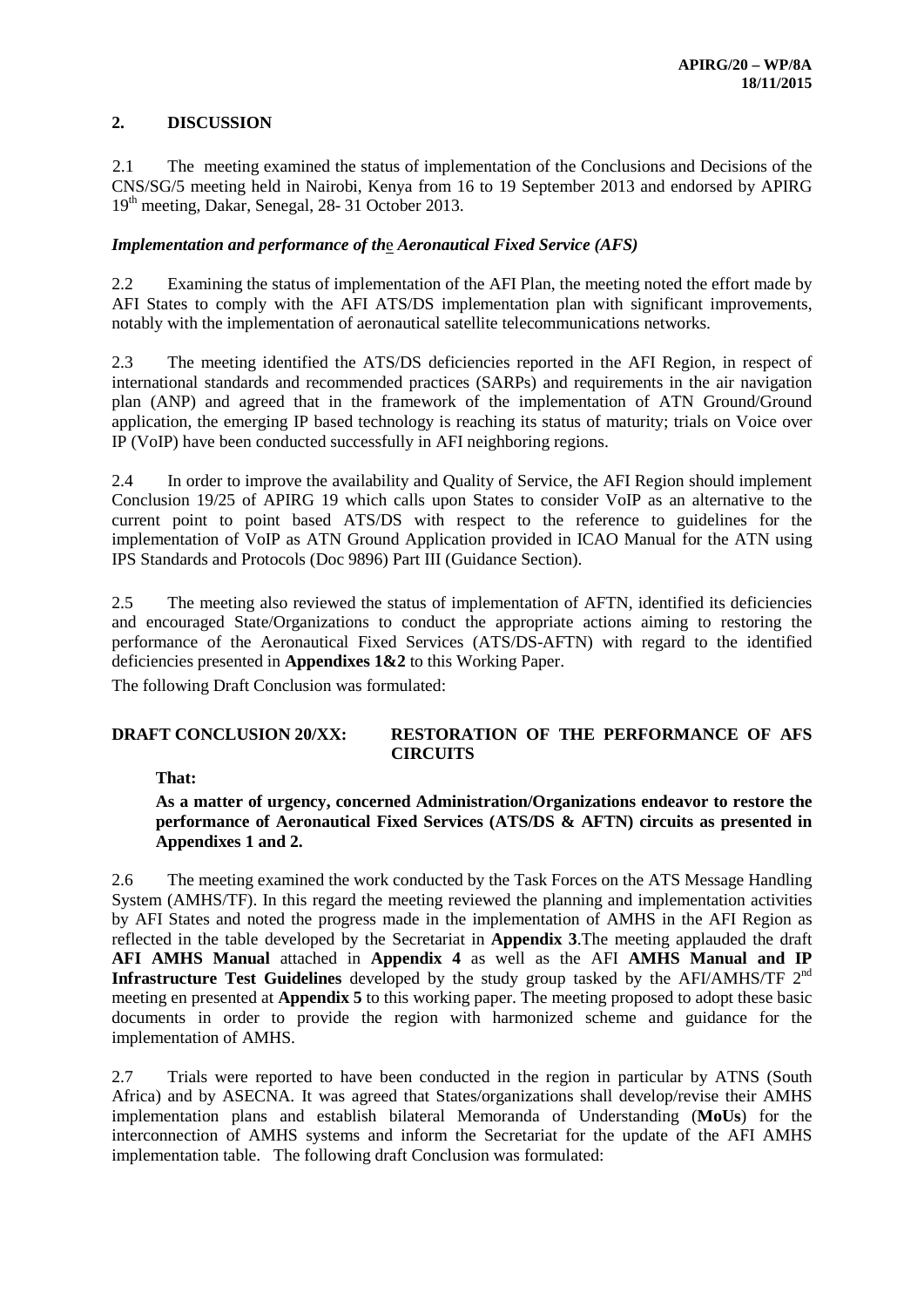# **2. DISCUSSION**

2.1 The meeting examined the status of implementation of the Conclusions and Decisions of the CNS/SG/5 meeting held in Nairobi, Kenya from 16 to 19 September 2013 and endorsed by APIRG 19th meeting, Dakar, Senegal, 28- 31 October 2013.

# *Implementation and performance of th*e *Aeronautical Fixed Service (AFS)*

2.2 Examining the status of implementation of the AFI Plan, the meeting noted the effort made by AFI States to comply with the AFI ATS/DS implementation plan with significant improvements, notably with the implementation of aeronautical satellite telecommunications networks.

2.3 The meeting identified the ATS/DS deficiencies reported in the AFI Region, in respect of international standards and recommended practices (SARPs) and requirements in the air navigation plan (ANP) and agreed that in the framework of the implementation of ATN Ground/Ground application, the emerging IP based technology is reaching its status of maturity; trials on Voice over IP (VoIP) have been conducted successfully in AFI neighboring regions.

2.4 In order to improve the availability and Quality of Service, the AFI Region should implement Conclusion 19/25 of APIRG 19 which calls upon States to consider VoIP as an alternative to the current point to point based ATS/DS with respect to the reference to guidelines for the implementation of VoIP as ATN Ground Application provided in ICAO Manual for the ATN using IPS Standards and Protocols (Doc 9896) Part III (Guidance Section).

2.5 The meeting also reviewed the status of implementation of AFTN, identified its deficiencies and encouraged State/Organizations to conduct the appropriate actions aiming to restoring the performance of the Aeronautical Fixed Services (ATS/DS-AFTN) with regard to the identified deficiencies presented in **Appendixes 1&2** to this Working Paper.

The following Draft Conclusion was formulated:

## **DRAFT CONCLUSION 20/XX: RESTORATION OF THE PERFORMANCE OF AFS CIRCUITS**

**That:**

**As a matter of urgency, concerned Administration/Organizations endeavor to restore the performance of Aeronautical Fixed Services (ATS/DS & AFTN) circuits as presented in Appendixes 1 and 2.**

2.6 The meeting examined the work conducted by the Task Forces on the ATS Message Handling System (AMHS/TF). In this regard the meeting reviewed the planning and implementation activities by AFI States and noted the progress made in the implementation of AMHS in the AFI Region as reflected in the table developed by the Secretariat in **Appendix 3**.The meeting applauded the draft **AFI AMHS Manual** attached in **Appendix 4** as well as the AFI **AMHS Manual and IP Infrastructure Test Guidelines** developed by the study group tasked by the AFI/AMHS/TF 2<sup>nd</sup> meeting en presented at **Appendix 5** to this working paper. The meeting proposed to adopt these basic documents in order to provide the region with harmonized scheme and guidance for the implementation of AMHS.

2.7 Trials were reported to have been conducted in the region in particular by ATNS (South Africa) and by ASECNA. It was agreed that States/organizations shall develop/revise their AMHS implementation plans and establish bilateral Memoranda of Understanding (**MoUs**) for the interconnection of AMHS systems and inform the Secretariat for the update of the AFI AMHS implementation table. The following draft Conclusion was formulated: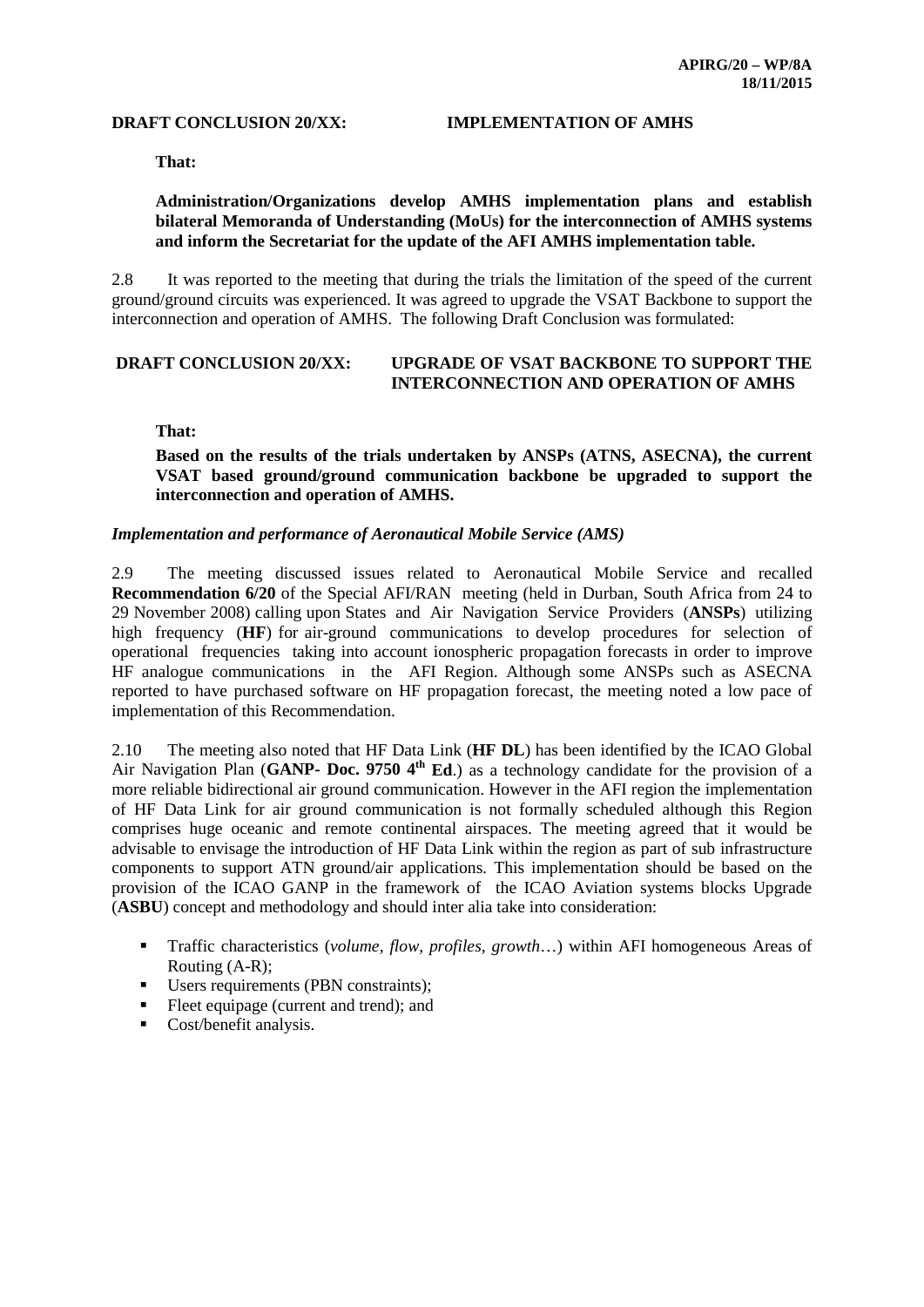### **DRAFT CONCLUSION 20/XX: IMPLEMENTATION OF AMHS**

**That:**

## **Administration/Organizations develop AMHS implementation plans and establish bilateral Memoranda of Understanding (MoUs) for the interconnection of AMHS systems and inform the Secretariat for the update of the AFI AMHS implementation table.**

2.8 It was reported to the meeting that during the trials the limitation of the speed of the current ground/ground circuits was experienced. It was agreed to upgrade the VSAT Backbone to support the interconnection and operation of AMHS. The following Draft Conclusion was formulated:

#### **DRAFT CONCLUSION 20/XX: UPGRADE OF VSAT BACKBONE TO SUPPORT THE INTERCONNECTION AND OPERATION OF AMHS**

**That:**

**Based on the results of the trials undertaken by ANSPs (ATNS, ASECNA), the current VSAT based ground/ground communication backbone be upgraded to support the interconnection and operation of AMHS.**

#### *Implementation and performance of Aeronautical Mobile Service (AMS)*

2.9 The meeting discussed issues related to Aeronautical Mobile Service and recalled **Recommendation 6/20** of the Special AFI/RAN meeting (held in Durban, South Africa from 24 to 29 November 2008) calling upon States and Air Navigation Service Providers (**ANSPs**) utilizing high frequency (**HF**) for air-ground communications to develop procedures for selection of operational frequencies taking into account ionospheric propagation forecasts in order to improve HF analogue communications in the AFI Region. Although some ANSPs such as ASECNA reported to have purchased software on HF propagation forecast, the meeting noted a low pace of implementation of this Recommendation.

2.10 The meeting also noted that HF Data Link (**HF DL**) has been identified by the ICAO Global Air Navigation Plan (GANP- Doc. 9750 4<sup>th</sup> Ed.) as a technology candidate for the provision of a more reliable bidirectional air ground communication. However in the AFI region the implementation of HF Data Link for air ground communication is not formally scheduled although this Region comprises huge oceanic and remote continental airspaces. The meeting agreed that it would be advisable to envisage the introduction of HF Data Link within the region as part of sub infrastructure components to support ATN ground/air applications. This implementation should be based on the provision of the ICAO GANP in the framework of the ICAO Aviation systems blocks Upgrade (**ASBU**) concept and methodology and should inter alia take into consideration:

- Traffic characteristics (*volume, flow, profiles, growth*…) within AFI homogeneous Areas of Routing (A-R);
- Users requirements (PBN constraints);
- Fleet equipage (current and trend); and
- Cost/benefit analysis.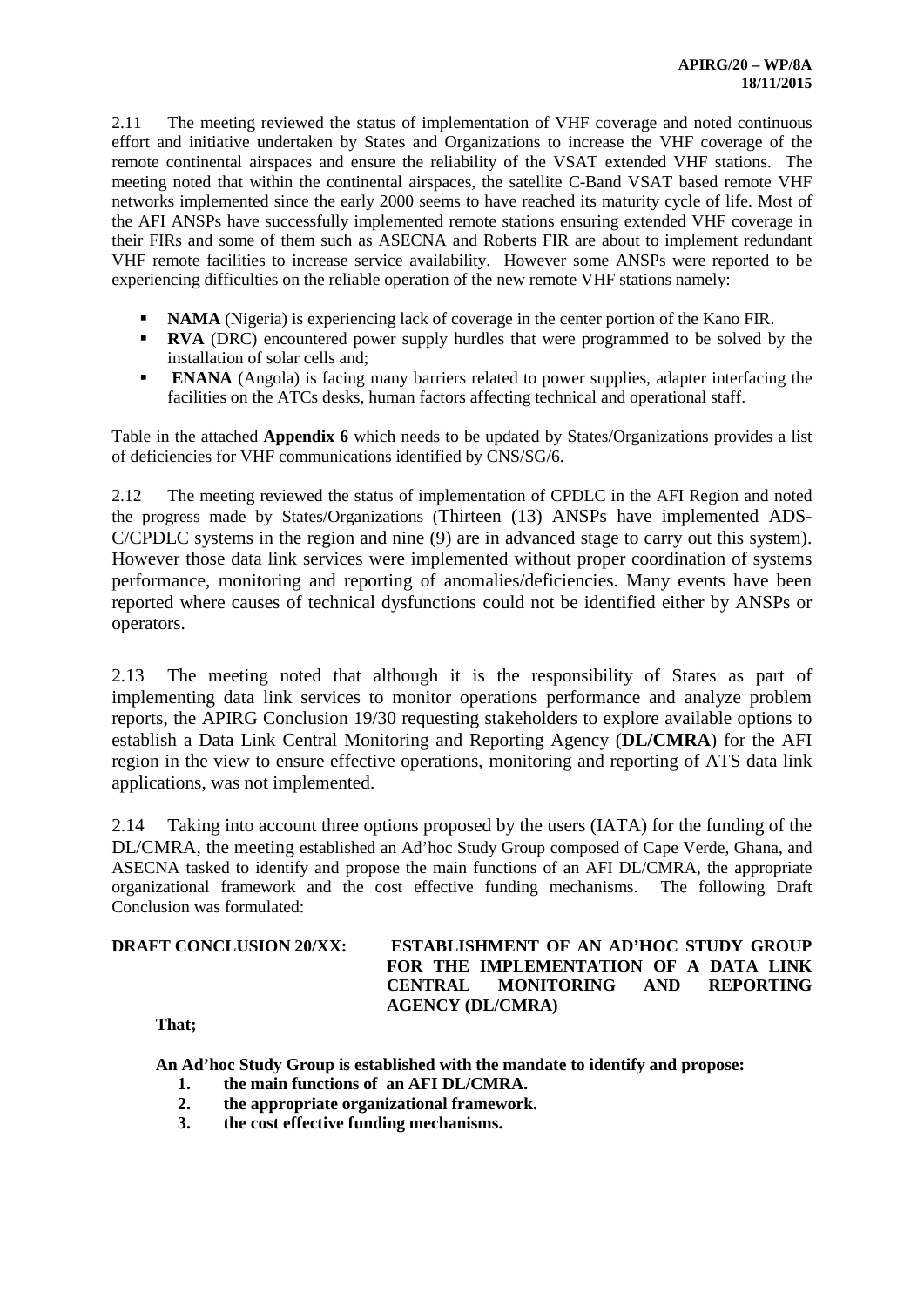2.11 The meeting reviewed the status of implementation of VHF coverage and noted continuous effort and initiative undertaken by States and Organizations to increase the VHF coverage of the remote continental airspaces and ensure the reliability of the VSAT extended VHF stations. The meeting noted that within the continental airspaces, the satellite C-Band VSAT based remote VHF networks implemented since the early 2000 seems to have reached its maturity cycle of life. Most of the AFI ANSPs have successfully implemented remote stations ensuring extended VHF coverage in their FIRs and some of them such as ASECNA and Roberts FIR are about to implement redundant VHF remote facilities to increase service availability. However some ANSPs were reported to be experiencing difficulties on the reliable operation of the new remote VHF stations namely:

- **NAMA** (Nigeria) is experiencing lack of coverage in the center portion of the Kano FIR.
- **RVA** (DRC) encountered power supply hurdles that were programmed to be solved by the installation of solar cells and;
- **ENANA** (Angola) is facing many barriers related to power supplies, adapter interfacing the facilities on the ATCs desks, human factors affecting technical and operational staff.

Table in the attached **Appendix 6** which needs to be updated by States/Organizations provides a list of deficiencies for VHF communications identified by CNS/SG/6.

2.12 The meeting reviewed the status of implementation of CPDLC in the AFI Region and noted the progress made by States/Organizations (Thirteen (13) ANSPs have implemented ADS-C/CPDLC systems in the region and nine (9) are in advanced stage to carry out this system). However those data link services were implemented without proper coordination of systems performance, monitoring and reporting of anomalies/deficiencies. Many events have been reported where causes of technical dysfunctions could not be identified either by ANSPs or operators.

2.13 The meeting noted that although it is the responsibility of States as part of implementing data link services to monitor operations performance and analyze problem reports, the APIRG Conclusion 19/30 requesting stakeholders to explore available options to establish a Data Link Central Monitoring and Reporting Agency (**DL/CMRA**) for the AFI region in the view to ensure effective operations, monitoring and reporting of ATS data link applications, was not implemented.

2.14 Taking into account three options proposed by the users (IATA) for the funding of the DL/CMRA, the meeting established an Ad'hoc Study Group composed of Cape Verde, Ghana, and ASECNA tasked to identify and propose the main functions of an AFI DL/CMRA, the appropriate organizational framework and the cost effective funding mechanisms. The following Draft Conclusion was formulated:

## **DRAFT CONCLUSION 20/XX: ESTABLISHMENT OF AN AD'HOC STUDY GROUP FOR THE IMPLEMENTATION OF A DATA LINK CENTRAL MONITORING AND REPORTING AGENCY (DL/CMRA)**

**That;**

**An Ad'hoc Study Group is established with the mandate to identify and propose:**

- **1. the main functions of an AFI DL/CMRA.**
- **2. the appropriate organizational framework.**
- **3. the cost effective funding mechanisms.**